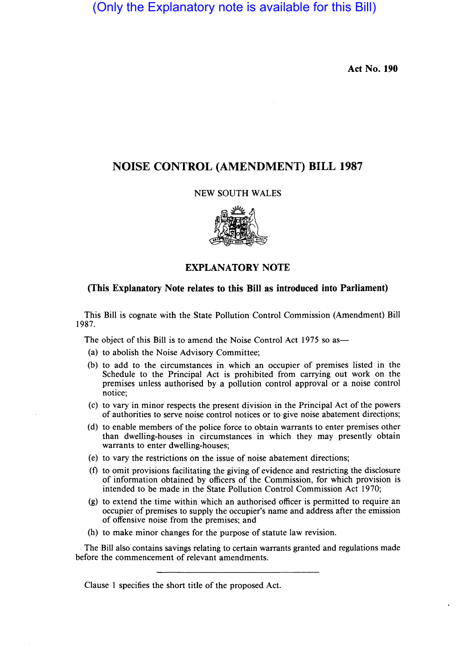# (Only the Explanatory note is available for this Bill)

Act No. 190

## NOISE CONTROL (AMENDMENT) BILL 1987

#### NEW SOUTH WALES



### EXPLANATORY NOTE

#### (This Explanatory Note relates to this Bill as introduced into Parliament)

This Bill is cognate with the State Pollution Control Commission (Amendment) Bill 1987.

The object of this Bill is to amend the Noise Control Act 1975 so as-

- (a) to abolish the Noise Advisory Committee;
- (b) to add to the circumstances in which an occupier of premises listed in the Schedule to the Principal Act is prohibited from carrying out work on the premises unless authorised by a pollution control approval or a noise control notice;
- (c) to vary in minor respects the present division in the Principal Act of the powers of authorities to serve noise control notices or to give noise abatement directions;
- (d) to enable members ofthe police force to obtain warrants to enter premises other than dwelling-houses in circumstances in which they may presently obtain warrants to enter dwelling-houses;
- (e) to vary the restrictions on the issue of noise abatement directions;
- (f) to omit provisions facilitating the giving of evidence and restricting the disclosure of information obtained by officers of the Commission, for which provision is intended to be made in the State Pollution Control Commission Act 1970;
- (g) to extend the time within which an authorised officer is permitted to require an occupier of premises to supply the occupier's name and address after the emission of offensive noise from the premises; and
- (h) to make minor changes for the purpose of statute law revision.

The Bill also contains savings relating to certain warrants granted and regulations made before the commencement of relevant amendments.

Clause 1 specifies the short title of the proposed Act.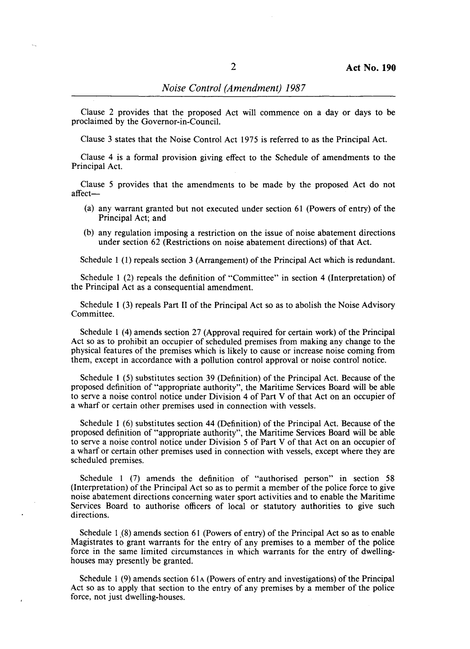Clause 2 provides that the proposed Act will commence on a day or days to be proclaimed by the Governor-in-Council.

Clause 3 states that the Noise Control Act 1975 is referred to as the Principal Act.

Clause 4 is a formal provision giving effect to the Schedule of amendments to the Principal Act.

Clause 5 provides that the amendments to be made by the proposed Act do not affect-

- (a) any warrant granted but not executed under section 61 (Powers of entry) of the Principal Act; and
- (b) any regulation imposing a restriction on the issue of noise abatement directions under section 62 (Restrictions on noise abatement directions) of that Act.

Schedule 1 (1) repeals section 3 (Arrangement) of the Principal Act which is redundant.

Schedule 1 (2) repeals the definition of "Committee" in section 4 (Interpretation) of the Principal Act as a consequential amendment.

Schedule 1 (3) repeals Part 11 of the Principal Act so as to abolish the Noise Advisory Committee.

Schedule 1 (4) amends section 27 (Approval required for certain work) of the Principal Act so as to prohibit an occupier of scheduled premises from making any change to the physical features of the premises which is likely to cause or increase noise coming from them, except in accordance with a pollution control approval or noise control notice.

Schedule 1 (5) substitutes section 39 (Definition) of the Principal Act. Because of the proposed definition of "appropriate authority", the Maritime Services Board will be able to serve a noise control notice under Division 4 of Part V of that Act on an occupier of a wharf or certain other premises used in connection with vessels.

Schedule 1 (6) substitutes section 44 (Definition) of the Principal Act. Because of the proposed definition of "appropriate authority", the Maritime Services Board will be able to serve a noise control notice under Division 5 of Part V of that Act on an occupier of a wharf or certain other premises used in connection with vessels, except where they are scheduled premises.

Schedule 1 (7) amends the definition of "authorised person" in section 58 (Interpretation) of the Principal Act so as to permit a member of the police force to give noise abatement directions concerning water sport activities and to enable the Maritime Services Board to authorise officers of local or statutory authorities to give such directions.

Schedule 1 (8) amends section 61 (Powers of entry) of the Principal Act so as to enable Magistrates to grant warrants for the entry of any premises to a member of the police force in the same limited circumstances in which warrants for the entry of dwellinghouses may presently be granted.

Schedule 1  $(9)$  amends section 61 $\alpha$  (Powers of entry and investigations) of the Principal Act so as to apply that section to the entry of any premises by a member of the police force, not just dwelling-houses.